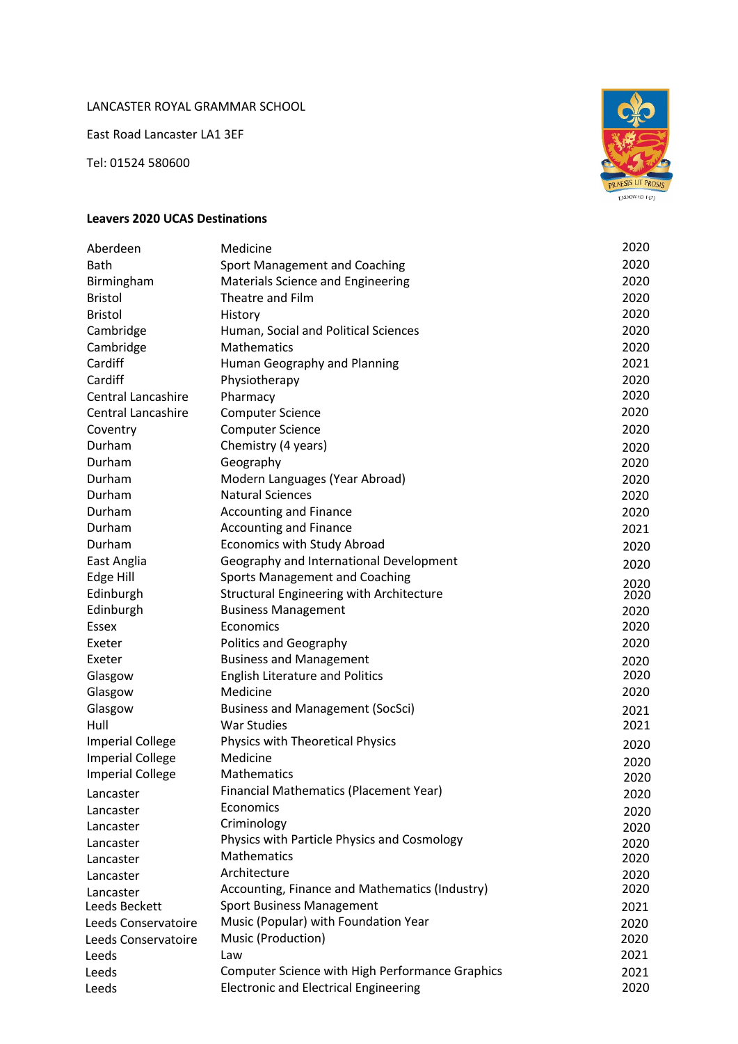## LANCASTER ROYAL GRAMMAR SCHOOL

East Road Lancaster LA1 3EF

Tel: 01524 580600



## **Leavers 2020 UCAS Destinations**

| Aberdeen                  | Medicine                                        | 2020 |
|---------------------------|-------------------------------------------------|------|
| <b>Bath</b>               | Sport Management and Coaching                   | 2020 |
| Birmingham                | Materials Science and Engineering               | 2020 |
| <b>Bristol</b>            | Theatre and Film                                | 2020 |
| <b>Bristol</b>            | History                                         | 2020 |
| Cambridge                 | Human, Social and Political Sciences            | 2020 |
| Cambridge                 | Mathematics                                     | 2020 |
| Cardiff                   | Human Geography and Planning                    | 2021 |
| Cardiff                   | Physiotherapy                                   | 2020 |
| <b>Central Lancashire</b> | Pharmacy                                        | 2020 |
| Central Lancashire        | <b>Computer Science</b>                         | 2020 |
| Coventry                  | <b>Computer Science</b>                         | 2020 |
| Durham                    | Chemistry (4 years)                             | 2020 |
| Durham                    | Geography                                       | 2020 |
| Durham                    | Modern Languages (Year Abroad)                  | 2020 |
| Durham                    | <b>Natural Sciences</b>                         | 2020 |
| Durham                    | <b>Accounting and Finance</b>                   | 2020 |
| Durham                    | <b>Accounting and Finance</b>                   | 2021 |
| Durham                    | <b>Economics with Study Abroad</b>              | 2020 |
| East Anglia               | Geography and International Development         | 2020 |
| Edge Hill                 | <b>Sports Management and Coaching</b>           | 2020 |
| Edinburgh                 | <b>Structural Engineering with Architecture</b> | 2020 |
| Edinburgh                 | <b>Business Management</b>                      | 2020 |
| Essex                     | Economics                                       | 2020 |
| Exeter                    | Politics and Geography                          | 2020 |
| Exeter                    | <b>Business and Management</b>                  | 2020 |
| Glasgow                   | <b>English Literature and Politics</b>          | 2020 |
| Glasgow                   | Medicine                                        | 2020 |
| Glasgow                   | <b>Business and Management (SocSci)</b>         | 2021 |
| Hull                      | <b>War Studies</b>                              | 2021 |
| <b>Imperial College</b>   | Physics with Theoretical Physics                | 2020 |
| <b>Imperial College</b>   | Medicine                                        | 2020 |
| <b>Imperial College</b>   | Mathematics                                     | 2020 |
| Lancaster                 | Financial Mathematics (Placement Year)          | 2020 |
| Lancaster                 | Economics                                       | 2020 |
| Lancaster                 | Criminology                                     | 2020 |
| Lancaster                 | Physics with Particle Physics and Cosmology     | 2020 |
| Lancaster                 | <b>Mathematics</b>                              | 2020 |
| Lancaster                 | Architecture                                    | 2020 |
| Lancaster                 | Accounting, Finance and Mathematics (Industry)  | 2020 |
| Leeds Beckett             | <b>Sport Business Management</b>                | 2021 |
| Leeds Conservatoire       | Music (Popular) with Foundation Year            | 2020 |
| Leeds Conservatoire       | Music (Production)                              | 2020 |
| Leeds                     | Law                                             | 2021 |
| Leeds                     | Computer Science with High Performance Graphics | 2021 |
| Leeds                     | <b>Electronic and Electrical Engineering</b>    | 2020 |